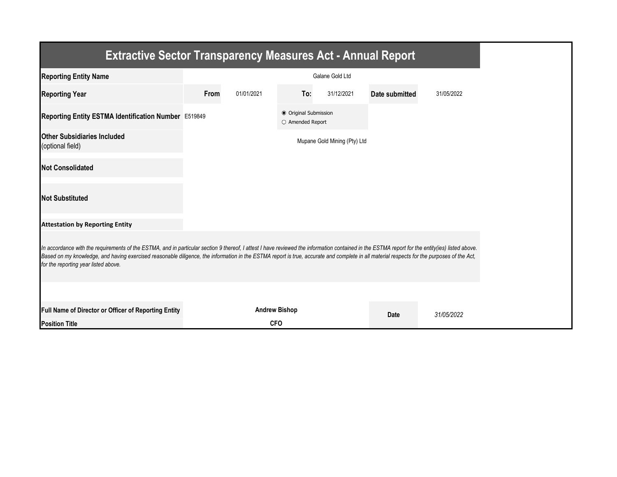| <b>Extractive Sector Transparency Measures Act - Annual Report</b>                                                                                                                                                                                                                                                                                                                                                                    |      |                      |                                           |                              |                |            |  |  |  |
|---------------------------------------------------------------------------------------------------------------------------------------------------------------------------------------------------------------------------------------------------------------------------------------------------------------------------------------------------------------------------------------------------------------------------------------|------|----------------------|-------------------------------------------|------------------------------|----------------|------------|--|--|--|
| <b>Reporting Entity Name</b>                                                                                                                                                                                                                                                                                                                                                                                                          |      |                      |                                           | Galane Gold Ltd              |                |            |  |  |  |
| <b>Reporting Year</b>                                                                                                                                                                                                                                                                                                                                                                                                                 | From | 01/01/2021           | To:                                       | 31/12/2021                   | Date submitted | 31/05/2022 |  |  |  |
| Reporting Entity ESTMA Identification Number E519849                                                                                                                                                                                                                                                                                                                                                                                  |      |                      | ● Original Submission<br>O Amended Report |                              |                |            |  |  |  |
| <b>Other Subsidiaries Included</b><br>(optional field)                                                                                                                                                                                                                                                                                                                                                                                |      |                      |                                           | Mupane Gold Mining (Pty) Ltd |                |            |  |  |  |
| <b>Not Consolidated</b>                                                                                                                                                                                                                                                                                                                                                                                                               |      |                      |                                           |                              |                |            |  |  |  |
| <b>Not Substituted</b>                                                                                                                                                                                                                                                                                                                                                                                                                |      |                      |                                           |                              |                |            |  |  |  |
| <b>Attestation by Reporting Entity</b>                                                                                                                                                                                                                                                                                                                                                                                                |      |                      |                                           |                              |                |            |  |  |  |
| In accordance with the requirements of the ESTMA, and in particular section 9 thereof, I attest I have reviewed the information contained in the ESTMA report for the entity(ies) listed above.<br>Based on my knowledge, and having exercised reasonable diligence, the information in the ESTMA report is true, accurate and complete in all material respects for the purposes of the Act,<br>for the reporting year listed above. |      |                      |                                           |                              |                |            |  |  |  |
|                                                                                                                                                                                                                                                                                                                                                                                                                                       |      |                      |                                           |                              |                |            |  |  |  |
| Full Name of Director or Officer of Reporting Entity                                                                                                                                                                                                                                                                                                                                                                                  |      | <b>Andrew Bishop</b> |                                           |                              | <b>Date</b>    | 31/05/2022 |  |  |  |
| <b>Position Title</b>                                                                                                                                                                                                                                                                                                                                                                                                                 |      | <b>CFO</b>           |                                           |                              |                |            |  |  |  |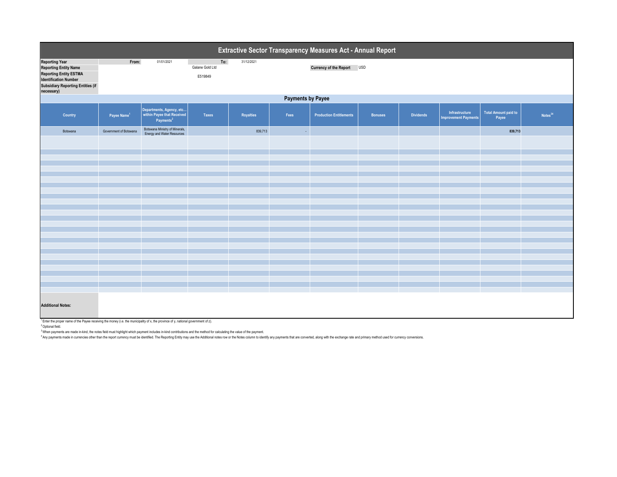| Extractive Sector Transparency Measures Act - Annual Report                                                                                                                      |                          |                                                                                 |                                   |                  |      |                                |                |                  |                                               |                                      |                     |  |
|----------------------------------------------------------------------------------------------------------------------------------------------------------------------------------|--------------------------|---------------------------------------------------------------------------------|-----------------------------------|------------------|------|--------------------------------|----------------|------------------|-----------------------------------------------|--------------------------------------|---------------------|--|
| <b>Reporting Year</b><br><b>Reporting Entity Name</b><br><b>Reporting Entity ESTMA</b><br><b>Identification Number</b><br><b>Subsidiary Reporting Entities (if</b><br>necessary) | From:                    | 01/01/2021                                                                      | To:<br>Galane Gold Ltd<br>E519849 | 31/12/2021       |      | Currency of the Report USD     |                |                  |                                               |                                      |                     |  |
|                                                                                                                                                                                  | <b>Payments by Payee</b> |                                                                                 |                                   |                  |      |                                |                |                  |                                               |                                      |                     |  |
| Country                                                                                                                                                                          | Payee Name <sup>1</sup>  | Departments, Agency, etc<br>within Payee that Received<br>Payments <sup>2</sup> | <b>Taxes</b>                      | <b>Royalties</b> | Fees | <b>Production Entitlements</b> | <b>Bonuses</b> | <b>Dividends</b> | Infrastructure<br><b>Improvement Payments</b> | <b>Total Amount paid to</b><br>Payee | Notes <sup>34</sup> |  |
| Botswana                                                                                                                                                                         | Government of Botswana   | Botswana Ministry of Minerals,<br>Energy and Water Resources                    |                                   | 839,713          | ×.   |                                |                |                  |                                               | 839,713                              |                     |  |
|                                                                                                                                                                                  |                          |                                                                                 |                                   |                  |      |                                |                |                  |                                               |                                      |                     |  |
|                                                                                                                                                                                  |                          |                                                                                 |                                   |                  |      |                                |                |                  |                                               |                                      |                     |  |
|                                                                                                                                                                                  |                          |                                                                                 |                                   |                  |      |                                |                |                  |                                               |                                      |                     |  |
|                                                                                                                                                                                  |                          |                                                                                 |                                   |                  |      |                                |                |                  |                                               |                                      |                     |  |
|                                                                                                                                                                                  |                          |                                                                                 |                                   |                  |      |                                |                |                  |                                               |                                      |                     |  |
|                                                                                                                                                                                  |                          |                                                                                 |                                   |                  |      |                                |                |                  |                                               |                                      |                     |  |
|                                                                                                                                                                                  |                          |                                                                                 |                                   |                  |      |                                |                |                  |                                               |                                      |                     |  |
|                                                                                                                                                                                  |                          |                                                                                 |                                   |                  |      |                                |                |                  |                                               |                                      |                     |  |
|                                                                                                                                                                                  |                          |                                                                                 |                                   |                  |      |                                |                |                  |                                               |                                      |                     |  |
|                                                                                                                                                                                  |                          |                                                                                 |                                   |                  |      |                                |                |                  |                                               |                                      |                     |  |
|                                                                                                                                                                                  |                          |                                                                                 |                                   |                  |      |                                |                |                  |                                               |                                      |                     |  |
|                                                                                                                                                                                  |                          |                                                                                 |                                   |                  |      |                                |                |                  |                                               |                                      |                     |  |
|                                                                                                                                                                                  |                          |                                                                                 |                                   |                  |      |                                |                |                  |                                               |                                      |                     |  |
|                                                                                                                                                                                  |                          |                                                                                 |                                   |                  |      |                                |                |                  |                                               |                                      |                     |  |
|                                                                                                                                                                                  |                          |                                                                                 |                                   |                  |      |                                |                |                  |                                               |                                      |                     |  |
|                                                                                                                                                                                  |                          |                                                                                 |                                   |                  |      |                                |                |                  |                                               |                                      |                     |  |
|                                                                                                                                                                                  |                          |                                                                                 |                                   |                  |      |                                |                |                  |                                               |                                      |                     |  |
|                                                                                                                                                                                  |                          |                                                                                 |                                   |                  |      |                                |                |                  |                                               |                                      |                     |  |
|                                                                                                                                                                                  |                          |                                                                                 |                                   |                  |      |                                |                |                  |                                               |                                      |                     |  |
| <b>Additional Notes:</b>                                                                                                                                                         |                          |                                                                                 |                                   |                  |      |                                |                |                  |                                               |                                      |                     |  |

<sup>1</sup> Enter the proper name of the Payee receiving the money (i.e. the municipality of x, the province of y, national government of z).

<sup>2</sup> Optional field.

<sup>3</sup> When payments are made in-kind, the notes field must highlight which payment includes in-kind contributions and the method for calculating the value of the payment.<br><sup>4</sup> Any payments made in currencies other than the re